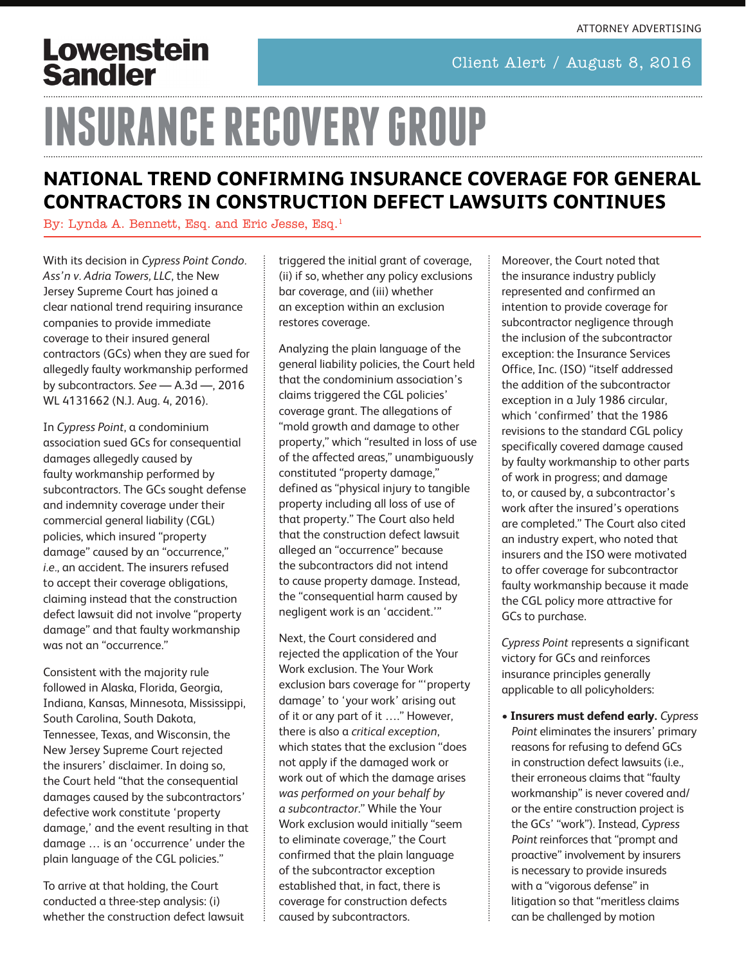## Lowenstein **Sandler**

#### Client Alert / August 8, 2016

# **INSURANCE RECOVERY GROUP**

#### **NATIONAL TREND CONFIRMING INSURANCE COVERAGE FOR GENERAL CONTRACTORS IN CONSTRUCTION DEFECT LAWSUITS CONTINUES**

By: [Lynda A. Bennett, Esq.](https://www.lowenstein.com/lbennett/) and Eric Jesse, Esq.<sup>1</sup>

With its decision in *Cypress Point Condo. Ass'n v. Adria Towers, LLC*, the New Jersey Supreme Court has joined a clear national trend requiring insurance companies to provide immediate coverage to their insured general contractors (GCs) when they are sued for allegedly faulty workmanship performed by subcontractors. *See* — A.3d —, 2016 WL 4131662 (N.J. Aug. 4, 2016).

In *Cypress Point*, a condominium association sued GCs for consequential damages allegedly caused by faulty workmanship performed by subcontractors. The GCs sought defense and indemnity coverage under their commercial general liability (CGL) policies, which insured "property damage" caused by an "occurrence," *i.e.*, an accident. The insurers refused to accept their coverage obligations, claiming instead that the construction defect lawsuit did not involve "property damage" and that faulty workmanship was not an "occurrence."

Consistent with the majority rule followed in Alaska, Florida, Georgia, Indiana, Kansas, Minnesota, Mississippi, South Carolina, South Dakota, Tennessee, Texas, and Wisconsin, the New Jersey Supreme Court rejected the insurers' disclaimer. In doing so, the Court held "that the consequential damages caused by the subcontractors' defective work constitute 'property damage,' and the event resulting in that damage … is an 'occurrence' under the plain language of the CGL policies."

To arrive at that holding, the Court conducted a three-step analysis: (i) whether the construction defect lawsuit triggered the initial grant of coverage, (ii) if so, whether any policy exclusions bar coverage, and (iii) whether an exception within an exclusion restores coverage.

Analyzing the plain language of the general liability policies, the Court held that the condominium association's claims triggered the CGL policies' coverage grant. The allegations of "mold growth and damage to other property," which "resulted in loss of use of the affected areas," unambiguously constituted "property damage," defined as "physical injury to tangible property including all loss of use of that property." The Court also held that the construction defect lawsuit alleged an "occurrence" because the subcontractors did not intend to cause property damage. Instead, the "consequential harm caused by negligent work is an 'accident.'"

Next, the Court considered and rejected the application of the Your Work exclusion. The Your Work exclusion bars coverage for "'property damage' to 'your work' arising out of it or any part of it …." However, there is also a *critical exception*, which states that the exclusion "does not apply if the damaged work or work out of which the damage arises *was performed on your behalf by a subcontractor*." While the Your Work exclusion would initially "seem to eliminate coverage," the Court confirmed that the plain language of the subcontractor exception established that, in fact, there is coverage for construction defects caused by subcontractors.

Moreover, the Court noted that the insurance industry publicly represented and confirmed an intention to provide coverage for subcontractor negligence through the inclusion of the subcontractor exception: the Insurance Services Office, Inc. (ISO) "itself addressed the addition of the subcontractor exception in a July 1986 circular, which 'confirmed' that the 1986 revisions to the standard CGL policy specifically covered damage caused by faulty workmanship to other parts of work in progress; and damage to, or caused by, a subcontractor's work after the insured's operations are completed." The Court also cited an industry expert, who noted that insurers and the ISO were motivated to offer coverage for subcontractor faulty workmanship because it made the CGL policy more attractive for GCs to purchase.

*Cypress Point* represents a significant victory for GCs and reinforces insurance principles generally applicable to all policyholders:

• **Insurers must defend early.** Cypress Point eliminates the insurers' primary reasons for refusing to defend GCs in construction defect lawsuits (i.e., their erroneous claims that "faulty workmanship" is never covered and/ or the entire construction project is the GCs' "work"). Instead, Cypress Point reinforces that "prompt and proactive" involvement by insurers is necessary to provide insureds with a "vigorous defense" in litigation so that "meritless claims can be challenged by motion